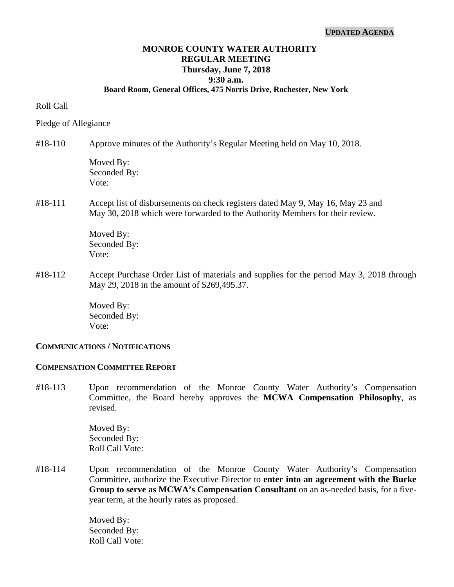#### **UPDATED AGENDA**

# **MONROE COUNTY WATER AUTHORITY REGULAR MEETING Thursday, June 7, 2018 9:30 a.m.**

#### **Board Room, General Offices, 475 Norris Drive, Rochester, New York**

#### Roll Call

#### Pledge of Allegiance

#### #18-110 Approve minutes of the Authority's Regular Meeting held on May 10, 2018.

Moved By: Seconded By: Vote:

#### #18-111 Accept list of disbursements on check registers dated May 9, May 16, May 23 and May 30, 2018 which were forwarded to the Authority Members for their review.

 Moved By: Seconded By: Vote:

#18-112 Accept Purchase Order List of materials and supplies for the period May 3, 2018 through May 29, 2018 in the amount of \$269,495.37.

> Moved By: Seconded By: Vote:

#### **COMMUNICATIONS / NOTIFICATIONS**

## **COMPENSATION COMMITTEE REPORT**

#18-113 Upon recommendation of the Monroe County Water Authority's Compensation Committee, the Board hereby approves the **MCWA Compensation Philosophy**, as revised.

> Moved By: Seconded By: Roll Call Vote:

#18-114 Upon recommendation of the Monroe County Water Authority's Compensation Committee, authorize the Executive Director to **enter into an agreement with the Burke Group to serve as MCWA's Compensation Consultant** on an as-needed basis, for a fiveyear term, at the hourly rates as proposed.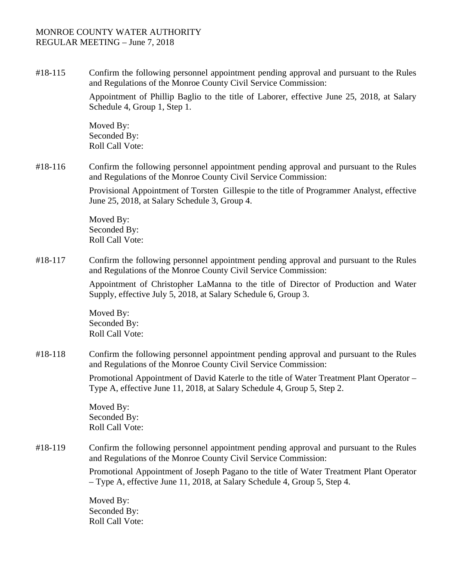#18-115 Confirm the following personnel appointment pending approval and pursuant to the Rules and Regulations of the Monroe County Civil Service Commission:

> Appointment of Phillip Baglio to the title of Laborer, effective June 25, 2018, at Salary Schedule 4, Group 1, Step 1.

Moved By: Seconded By: Roll Call Vote:

#18-116 Confirm the following personnel appointment pending approval and pursuant to the Rules and Regulations of the Monroe County Civil Service Commission:

> Provisional Appointment of Torsten Gillespie to the title of Programmer Analyst, effective June 25, 2018, at Salary Schedule 3, Group 4.

Moved By: Seconded By: Roll Call Vote:

#18-117 Confirm the following personnel appointment pending approval and pursuant to the Rules and Regulations of the Monroe County Civil Service Commission:

> Appointment of Christopher LaManna to the title of Director of Production and Water Supply, effective July 5, 2018, at Salary Schedule 6, Group 3.

Moved By: Seconded By: Roll Call Vote:

#18-118 Confirm the following personnel appointment pending approval and pursuant to the Rules and Regulations of the Monroe County Civil Service Commission:

> Promotional Appointment of David Katerle to the title of Water Treatment Plant Operator – Type A, effective June 11, 2018, at Salary Schedule 4, Group 5, Step 2.

Moved By: Seconded By: Roll Call Vote:

### #18-119 Confirm the following personnel appointment pending approval and pursuant to the Rules and Regulations of the Monroe County Civil Service Commission:

Promotional Appointment of Joseph Pagano to the title of Water Treatment Plant Operator – Type A, effective June 11, 2018, at Salary Schedule 4, Group 5, Step 4.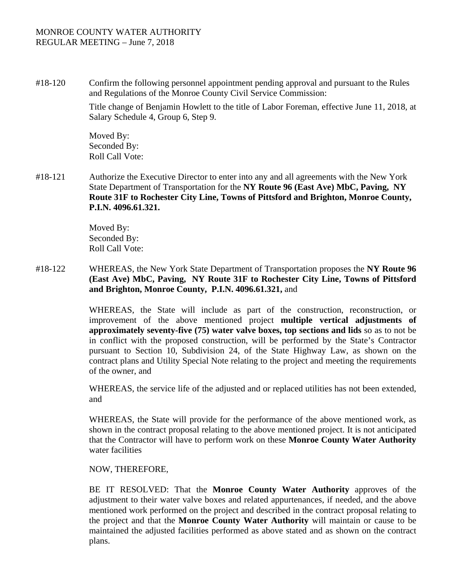#18-120 Confirm the following personnel appointment pending approval and pursuant to the Rules and Regulations of the Monroe County Civil Service Commission:

> Title change of Benjamin Howlett to the title of Labor Foreman, effective June 11, 2018, at Salary Schedule 4, Group 6, Step 9.

Moved By: Seconded By: Roll Call Vote:

#18-121 Authorize the Executive Director to enter into any and all agreements with the New York State Department of Transportation for the **NY Route 96 (East Ave) MbC, Paving, NY Route 31F to Rochester City Line, Towns of Pittsford and Brighton, Monroe County, P.I.N. 4096.61.321.** 

> Moved By: Seconded By: Roll Call Vote:

#18-122 WHEREAS, the New York State Department of Transportation proposes the **NY Route 96 (East Ave) MbC, Paving, NY Route 31F to Rochester City Line, Towns of Pittsford and Brighton, Monroe County, P.I.N. 4096.61.321,** and

> WHEREAS, the State will include as part of the construction, reconstruction, or improvement of the above mentioned project **multiple vertical adjustments of approximately seventy-five (75) water valve boxes, top sections and lids** so as to not be in conflict with the proposed construction, will be performed by the State's Contractor pursuant to Section 10, Subdivision 24, of the State Highway Law, as shown on the contract plans and Utility Special Note relating to the project and meeting the requirements of the owner, and

> WHEREAS, the service life of the adjusted and or replaced utilities has not been extended, and

> WHEREAS, the State will provide for the performance of the above mentioned work, as shown in the contract proposal relating to the above mentioned project. It is not anticipated that the Contractor will have to perform work on these **Monroe County Water Authority**  water facilities

NOW, THEREFORE,

BE IT RESOLVED: That the **Monroe County Water Authority** approves of the adjustment to their water valve boxes and related appurtenances, if needed, and the above mentioned work performed on the project and described in the contract proposal relating to the project and that the **Monroe County Water Authority** will maintain or cause to be maintained the adjusted facilities performed as above stated and as shown on the contract plans.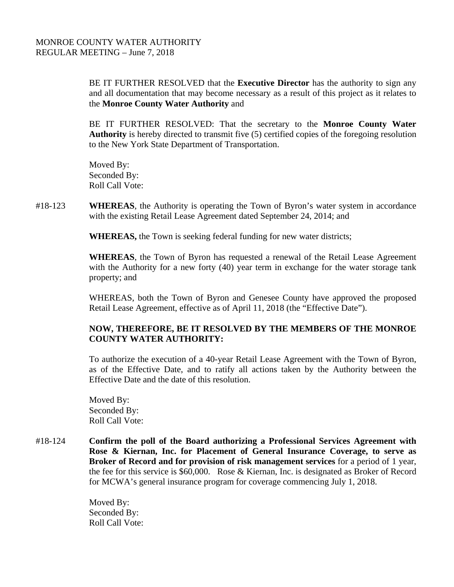BE IT FURTHER RESOLVED that the **Executive Director** has the authority to sign any and all documentation that may become necessary as a result of this project as it relates to the **Monroe County Water Authority** and

BE IT FURTHER RESOLVED: That the secretary to the **Monroe County Water Authority** is hereby directed to transmit five (5) certified copies of the foregoing resolution to the New York State Department of Transportation.

Moved By: Seconded By: Roll Call Vote:

#18-123 **WHEREAS**, the Authority is operating the Town of Byron's water system in accordance with the existing Retail Lease Agreement dated September 24, 2014; and

 **WHEREAS,** the Town is seeking federal funding for new water districts;

**WHEREAS**, the Town of Byron has requested a renewal of the Retail Lease Agreement with the Authority for a new forty (40) year term in exchange for the water storage tank property; and

WHEREAS, both the Town of Byron and Genesee County have approved the proposed Retail Lease Agreement, effective as of April 11, 2018 (the "Effective Date").

# **NOW, THEREFORE, BE IT RESOLVED BY THE MEMBERS OF THE MONROE COUNTY WATER AUTHORITY:**

To authorize the execution of a 40-year Retail Lease Agreement with the Town of Byron, as of the Effective Date, and to ratify all actions taken by the Authority between the Effective Date and the date of this resolution.

Moved By: Seconded By: Roll Call Vote:

#18-124 **Confirm the poll of the Board authorizing a Professional Services Agreement with Rose & Kiernan, Inc. for Placement of General Insurance Coverage, to serve as Broker of Record and for provision of risk management services** for a period of 1 year, the fee for this service is \$60,000. Rose & Kiernan, Inc. is designated as Broker of Record for MCWA's general insurance program for coverage commencing July 1, 2018.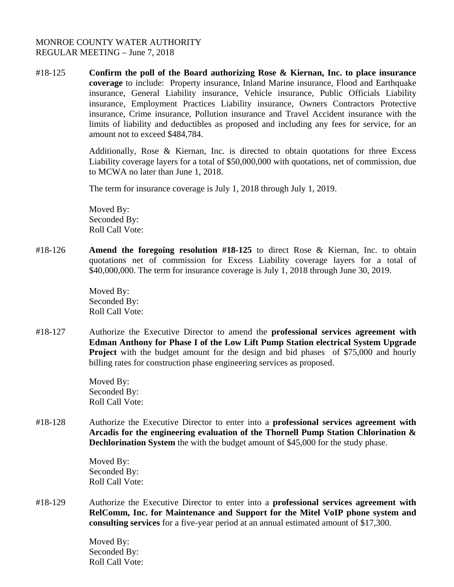#18-125 **Confirm the poll of the Board authorizing Rose & Kiernan, Inc. to place insurance coverage** to include: Property insurance, Inland Marine insurance, Flood and Earthquake insurance, General Liability insurance, Vehicle insurance, Public Officials Liability insurance, Employment Practices Liability insurance, Owners Contractors Protective insurance, Crime insurance, Pollution insurance and Travel Accident insurance with the limits of liability and deductibles as proposed and including any fees for service, for an amount not to exceed \$484,784.

> Additionally, Rose & Kiernan, Inc. is directed to obtain quotations for three Excess Liability coverage layers for a total of \$50,000,000 with quotations, net of commission, due to MCWA no later than June 1, 2018.

The term for insurance coverage is July 1, 2018 through July 1, 2019.

Moved By: Seconded By: Roll Call Vote:

#18-126 **Amend the foregoing resolution #18-125** to direct Rose & Kiernan, Inc. to obtain quotations net of commission for Excess Liability coverage layers for a total of \$40,000,000. The term for insurance coverage is July 1, 2018 through June 30, 2019.

> Moved By: Seconded By: Roll Call Vote:

#18-127 Authorize the Executive Director to amend the **professional services agreement with Edman Anthony for Phase I of the Low Lift Pump Station electrical System Upgrade Project** with the budget amount for the design and bid phases of \$75,000 and hourly billing rates for construction phase engineering services as proposed.

> Moved By: Seconded By: Roll Call Vote:

#18-128 Authorize the Executive Director to enter into a **professional services agreement with Arcadis for the engineering evaluation of the Thornell Pump Station Chlorination & Dechlorination System** the with the budget amount of \$45,000 for the study phase.

> Moved By: Seconded By: Roll Call Vote:

#18-129 Authorize the Executive Director to enter into a **professional services agreement with RelComm, Inc. for Maintenance and Support for the Mitel VoIP phone system and consulting services** for a five-year period at an annual estimated amount of \$17,300.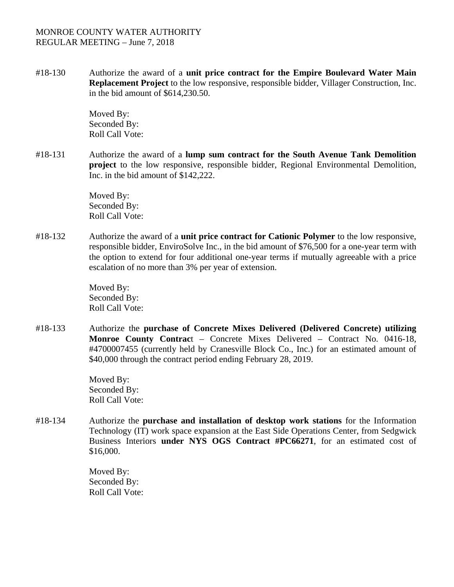#18-130 Authorize the award of a **unit price contract for the Empire Boulevard Water Main Replacement Project** to the low responsive, responsible bidder, Villager Construction, Inc. in the bid amount of \$614,230.50.

> Moved By: Seconded By: Roll Call Vote:

#18-131 Authorize the award of a **lump sum contract for the South Avenue Tank Demolition project** to the low responsive, responsible bidder, Regional Environmental Demolition, Inc. in the bid amount of \$142,222.

> Moved By: Seconded By: Roll Call Vote:

#18-132 Authorize the award of a **unit price contract for Cationic Polymer** to the low responsive, responsible bidder, EnviroSolve Inc., in the bid amount of \$76,500 for a one-year term with the option to extend for four additional one-year terms if mutually agreeable with a price escalation of no more than 3% per year of extension.

> Moved By: Seconded By: Roll Call Vote:

#18-133 Authorize the **purchase of Concrete Mixes Delivered (Delivered Concrete) utilizing Monroe County Contrac**t – Concrete Mixes Delivered – Contract No. 0416-18, #4700007455 (currently held by Cranesville Block Co., Inc.) for an estimated amount of \$40,000 through the contract period ending February 28, 2019.

> Moved By: Seconded By: Roll Call Vote:

#18-134 Authorize the **purchase and installation of desktop work stations** for the Information Technology (IT) work space expansion at the East Side Operations Center, from Sedgwick Business Interiors **under NYS OGS Contract #PC66271**, for an estimated cost of \$16,000.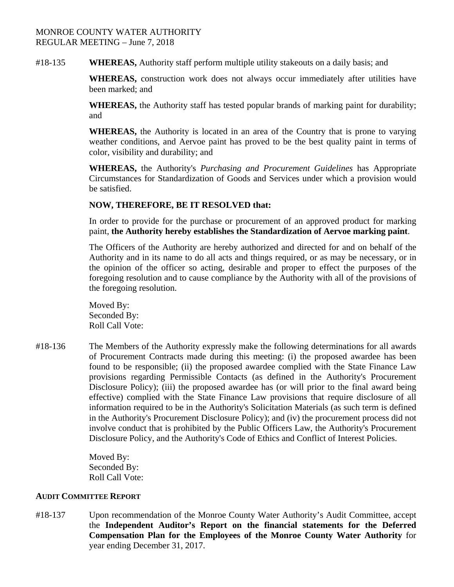#18-135 **WHEREAS,** Authority staff perform multiple utility stakeouts on a daily basis; and

**WHEREAS,** construction work does not always occur immediately after utilities have been marked; and

**WHEREAS,** the Authority staff has tested popular brands of marking paint for durability; and

**WHEREAS,** the Authority is located in an area of the Country that is prone to varying weather conditions, and Aervoe paint has proved to be the best quality paint in terms of color, visibility and durability; and

**WHEREAS,** the Authority's *Purchasing and Procurement Guidelines* has Appropriate Circumstances for Standardization of Goods and Services under which a provision would be satisfied.

# **NOW, THEREFORE, BE IT RESOLVED that:**

In order to provide for the purchase or procurement of an approved product for marking paint, **the Authority hereby establishes the Standardization of Aervoe marking paint**.

The Officers of the Authority are hereby authorized and directed for and on behalf of the Authority and in its name to do all acts and things required, or as may be necessary, or in the opinion of the officer so acting, desirable and proper to effect the purposes of the foregoing resolution and to cause compliance by the Authority with all of the provisions of the foregoing resolution.

Moved By: Seconded By: Roll Call Vote:

#18-136 The Members of the Authority expressly make the following determinations for all awards of Procurement Contracts made during this meeting: (i) the proposed awardee has been found to be responsible; (ii) the proposed awardee complied with the State Finance Law provisions regarding Permissible Contacts (as defined in the Authority's Procurement Disclosure Policy); (iii) the proposed awardee has (or will prior to the final award being effective) complied with the State Finance Law provisions that require disclosure of all information required to be in the Authority's Solicitation Materials (as such term is defined in the Authority's Procurement Disclosure Policy); and (iv) the procurement process did not involve conduct that is prohibited by the Public Officers Law, the Authority's Procurement Disclosure Policy, and the Authority's Code of Ethics and Conflict of Interest Policies.

> Moved By: Seconded By: Roll Call Vote:

### **AUDIT COMMITTEE REPORT**

#18-137 Upon recommendation of the Monroe County Water Authority's Audit Committee, accept the **Independent Auditor's Report on the financial statements for the Deferred Compensation Plan for the Employees of the Monroe County Water Authority** for year ending December 31, 2017.